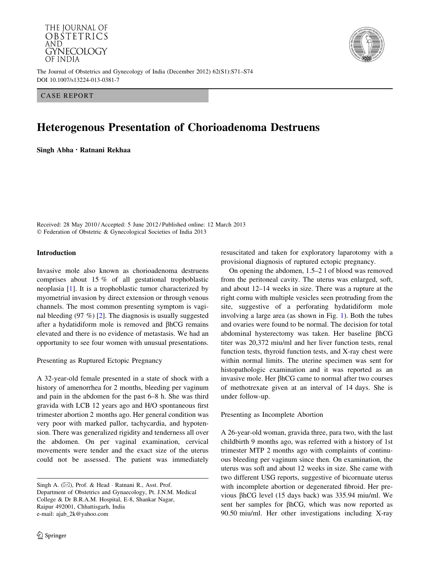



The Journal of Obstetrics and Gynecology of India (December 2012) 62(S1):S71–S74 DOI 10.1007/s13224-013-0381-7

CASE REPORT

# Heterogenous Presentation of Chorioadenoma Destruens

Singh Abha • Ratnani Rekhaa

Received: 28 May 2010 / Accepted: 5 June 2012 / Published online: 12 March 2013 - Federation of Obstetric & Gynecological Societies of India 2013

### Introduction

Invasive mole also known as chorioadenoma destruens comprises about 15 % of all gestational trophoblastic neoplasia [[1\]](#page-3-0). It is a trophoblastic tumor characterized by myometrial invasion by direct extension or through venous channels. The most common presenting symptom is vaginal bleeding (97 %) [\[2](#page-3-0)]. The diagnosis is usually suggested after a hydatidiform mole is removed and bhCG remains elevated and there is no evidence of metastasis. We had an opportunity to see four women with unusual presentations.

Presenting as Ruptured Ectopic Pregnancy

A 32-year-old female presented in a state of shock with a history of amenorrhea for 2 months, bleeding per vaginum and pain in the abdomen for the past 6–8 h. She was third gravida with LCB 12 years ago and H/O spontaneous first trimester abortion 2 months ago. Her general condition was very poor with marked pallor, tachycardia, and hypotension. There was generalized rigidity and tenderness all over the abdomen. On per vaginal examination, cervical movements were tender and the exact size of the uterus could not be assessed. The patient was immediately

resuscitated and taken for exploratory laparotomy with a provisional diagnosis of ruptured ectopic pregnancy.

On opening the abdomen, 1.5–2 l of blood was removed from the peritoneal cavity. The uterus was enlarged, soft, and about 12–14 weeks in size. There was a rupture at the right cornu with multiple vesicles seen protruding from the site, suggestive of a perforating hydatidiform mole involving a large area (as shown in Fig. [1\)](#page-1-0). Both the tubes and ovaries were found to be normal. The decision for total abdominal hysterectomy was taken. Her baseline  $\beta hCG$ titer was 20,372 miu/ml and her liver function tests, renal function tests, thyroid function tests, and X-ray chest were within normal limits. The uterine specimen was sent for histopathologic examination and it was reported as an invasive mole. Her  $\beta$ hCG came to normal after two courses of methotrexate given at an interval of 14 days. She is under follow-up.

Presenting as Incomplete Abortion

A 26-year-old woman, gravida three, para two, with the last childbirth 9 months ago, was referred with a history of 1st trimester MTP 2 months ago with complaints of continuous bleeding per vaginum since then. On examination, the uterus was soft and about 12 weeks in size. She came with two different USG reports, suggestive of bicornuate uterus with incomplete abortion or degenerated fibroid. Her previous bhCG level (15 days back) was 335.94 miu/ml. We sent her samples for  $\beta hCG$ , which was now reported as 90.50 miu/ml. Her other investigations including X-ray

Singh A.  $(\boxtimes)$ , Prof. & Head · Ratnani R., Asst. Prof. Department of Obstetrics and Gynaecology, Pt. J.N.M. Medical College & Dr B.R.A.M. Hospital, E-8, Shankar Nagar, Raipur 492001, Chhattisgarh, India e-mail: ajab\_2k@yahoo.com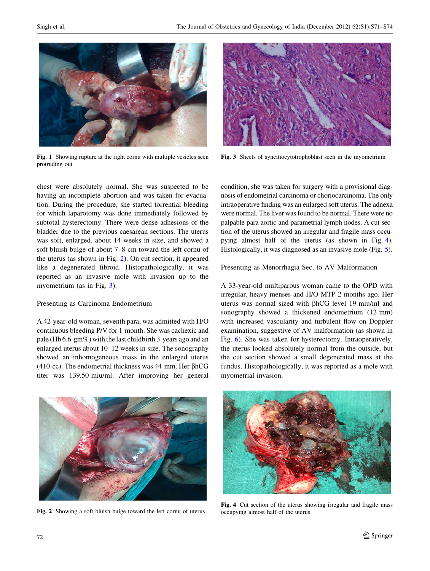<span id="page-1-0"></span>

Fig. 1 Showing rupture at the right cornu with multiple vesicles seen protruding out



Fig. 3 Sheets of syncitiocytotrophoblast seen in the myometrium

chest were absolutely normal. She was suspected to be having an incomplete abortion and was taken for evacuation. During the procedure, she started torrential bleeding for which laparotomy was done immediately followed by subtotal hysterectomy. There were dense adhesions of the bladder due to the previous caesarean sections. The uterus was soft, enlarged, about 14 weeks in size, and showed a soft bluish bulge of about 7–8 cm toward the left cornu of the uterus (as shown in Fig. 2). On cut section, it appeared like a degenerated fibroid. Histopathologically, it was reported as an invasive mole with invasion up to the myometrium (as in Fig. 3).

### Presenting as Carcinoma Endometrium

A 42-year-old woman, seventh para, was admitted with H/O continuous bleeding P/V for 1 month. She was cachexic and pale (Hb 6.6 gm%) with the last childbirth 3 years ago and an enlarged uterus about 10–12 weeks in size. The sonography showed an inhomogeneous mass in the enlarged uterus (410 cc). The endometrial thickness was 44 mm. Her  $\beta$ hCG titer was 139.50 miu/ml. After improving her general condition, she was taken for surgery with a provisional diagnosis of endometrial carcinoma or choriocarcinoma. The only intraoperative finding was an enlarged soft uterus. The adnexa were normal. The liver was found to be normal. There were no palpable para aortic and parametrial lymph nodes. A cut section of the uterus showed an irregular and fragile mass occupying almost half of the uterus (as shown in Fig. 4). Histologically, it was diagnosed as an invasive mole (Fig. [5](#page-2-0)).

# Presenting as Menorrhagia Sec. to AV Malformation

A 33-year-old multiparous woman came to the OPD with irregular, heavy menses and H/O MTP 2 months ago. Her uterus was normal sized with  $\beta$ hCG level 19 miu/ml and sonography showed a thickened endometrium (12 mm) with increased vascularity and turbulent flow on Doppler examination, suggestive of AV malformation (as shown in Fig. [6](#page-2-0)). She was taken for hysterectomy. Intraoperatively, the uterus looked absolutely normal from the outside, but the cut section showed a small degenerated mass at the fundus. Histopathologically, it was reported as a mole with myometrial invasion.



Fig. 2 Showing a soft bluish bulge toward the left cornu of uterus



Fig. 4 Cut section of the uterus showing irregular and fragile mass occupying almost half of the uterus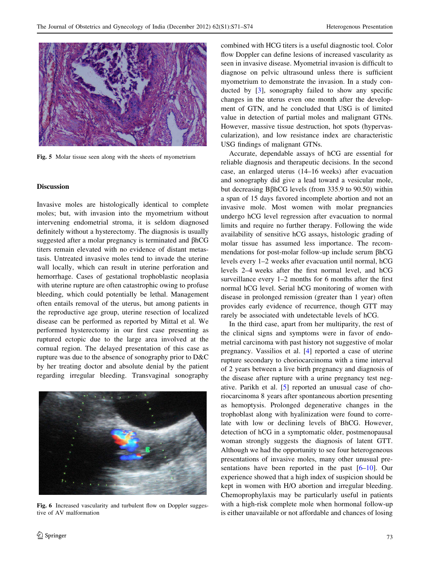<span id="page-2-0"></span>

Fig. 5 Molar tissue seen along with the sheets of myometrium

#### **Discussion**

Invasive moles are histologically identical to complete moles; but, with invasion into the myometrium without intervening endometrial stroma, it is seldom diagnosed definitely without a hysterectomy. The diagnosis is usually suggested after a molar pregnancy is terminated and  $\beta$ hCG titers remain elevated with no evidence of distant metastasis. Untreated invasive moles tend to invade the uterine wall locally, which can result in uterine perforation and hemorrhage. Cases of gestational trophoblastic neoplasia with uterine rupture are often catastrophic owing to profuse bleeding, which could potentially be lethal. Management often entails removal of the uterus, but among patients in the reproductive age group, uterine resection of localized disease can be performed as reported by Mittal et al. We performed hysterectomy in our first case presenting as ruptured ectopic due to the large area involved at the cornual region. The delayed presentation of this case as rupture was due to the absence of sonography prior to D&C by her treating doctor and absolute denial by the patient regarding irregular bleeding. Transvaginal sonography



Fig. 6 Increased vascularity and turbulent flow on Doppler suggestive of AV malformation

combined with HCG titers is a useful diagnostic tool. Color flow Doppler can define lesions of increased vascularity as seen in invasive disease. Myometrial invasion is difficult to diagnose on pelvic ultrasound unless there is sufficient myometrium to demonstrate the invasion. In a study conducted by [\[3](#page-3-0)], sonography failed to show any specific changes in the uterus even one month after the development of GTN, and he concluded that USG is of limited value in detection of partial moles and malignant GTNs. However, massive tissue destruction, hot spots (hypervascularization), and low resistance index are characteristic USG findings of malignant GTNs.

Accurate, dependable assays of hCG are essential for reliable diagnosis and therapeutic decisions. In the second case, an enlarged uterus (14–16 weeks) after evacuation and sonography did give a lead toward a vesicular mole, but decreasing B $\beta$ hCG levels (from 335.9 to 90.50) within a span of 15 days favored incomplete abortion and not an invasive mole. Most women with molar pregnancies undergo hCG level regression after evacuation to normal limits and require no further therapy. Following the wide availability of sensitive hCG assays, histologic grading of molar tissue has assumed less importance. The recommendations for post-molar follow-up include serum  $\beta$ hCG levels every 1–2 weeks after evacuation until normal, hCG levels 2–4 weeks after the first normal level, and hCG surveillance every 1–2 months for 6 months after the first normal hCG level. Serial hCG monitoring of women with disease in prolonged remission (greater than 1 year) often provides early evidence of recurrence, though GTT may rarely be associated with undetectable levels of hCG.

In the third case, apart from her multiparity, the rest of the clinical signs and symptoms were in favor of endometrial carcinoma with past history not suggestive of molar pregnancy. Vassilios et al. [[4\]](#page-3-0) reported a case of uterine rupture secondary to choriocarcinoma with a time interval of 2 years between a live birth pregnancy and diagnosis of the disease after rupture with a urine pregnancy test negative. Parikh et al. [\[5](#page-3-0)] reported an unusual case of choriocarcinoma 8 years after spontaneous abortion presenting as hemoptysis. Prolonged degenerative changes in the trophoblast along with hyalinization were found to correlate with low or declining levels of BhCG. However, detection of hCG in a symptomatic older, postmenopausal woman strongly suggests the diagnosis of latent GTT. Although we had the opportunity to see four heterogeneous presentations of invasive moles, many other unusual presentations have been reported in the past [\[6–10](#page-3-0)]. Our experience showed that a high index of suspicion should be kept in women with H/O abortion and irregular bleeding. Chemoprophylaxis may be particularly useful in patients with a high-risk complete mole when hormonal follow-up is either unavailable or not affordable and chances of losing